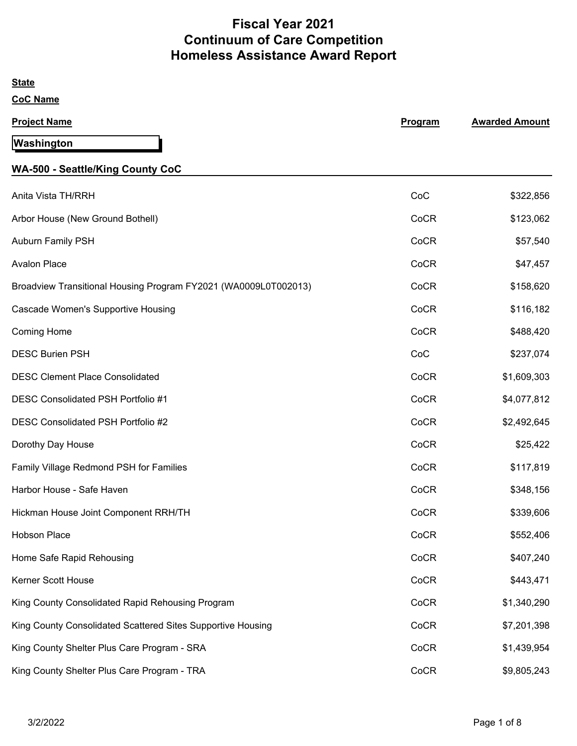# **Fiscal Year 2021 Continuum of Care Competition Homeless Assistance Award Report**

| <b>State</b>                                                    |         |                       |
|-----------------------------------------------------------------|---------|-----------------------|
| <b>CoC Name</b>                                                 |         |                       |
| <b>Project Name</b>                                             | Program | <b>Awarded Amount</b> |
| Washington                                                      |         |                       |
| <b>WA-500 - Seattle/King County CoC</b>                         |         |                       |
| Anita Vista TH/RRH                                              | CoC     | \$322,856             |
| Arbor House (New Ground Bothell)                                | CoCR    | \$123,062             |
| <b>Auburn Family PSH</b>                                        | CoCR    | \$57,540              |
| <b>Avalon Place</b>                                             | CoCR    | \$47,457              |
| Broadview Transitional Housing Program FY2021 (WA0009L0T002013) | CoCR    | \$158,620             |
| Cascade Women's Supportive Housing                              | CoCR    | \$116,182             |
| <b>Coming Home</b>                                              | CoCR    | \$488,420             |
| <b>DESC Burien PSH</b>                                          | CoC     | \$237,074             |
| <b>DESC Clement Place Consolidated</b>                          | CoCR    | \$1,609,303           |
| DESC Consolidated PSH Portfolio #1                              | CoCR    | \$4,077,812           |
| DESC Consolidated PSH Portfolio #2                              | CoCR    | \$2,492,645           |
| Dorothy Day House                                               | CoCR    | \$25,422              |
| Family Village Redmond PSH for Families                         | CoCR    | \$117,819             |
| Harbor House - Safe Haven                                       | CoCR    | \$348,156             |
| Hickman House Joint Component RRH/TH                            | CoCR    | \$339,606             |
| Hobson Place                                                    | CoCR    | \$552,406             |
| Home Safe Rapid Rehousing                                       | CoCR    | \$407,240             |
| Kerner Scott House                                              | CoCR    | \$443,471             |
| King County Consolidated Rapid Rehousing Program                | CoCR    | \$1,340,290           |
| King County Consolidated Scattered Sites Supportive Housing     | CoCR    | \$7,201,398           |
| King County Shelter Plus Care Program - SRA                     | CoCR    | \$1,439,954           |
| King County Shelter Plus Care Program - TRA                     | CoCR    | \$9,805,243           |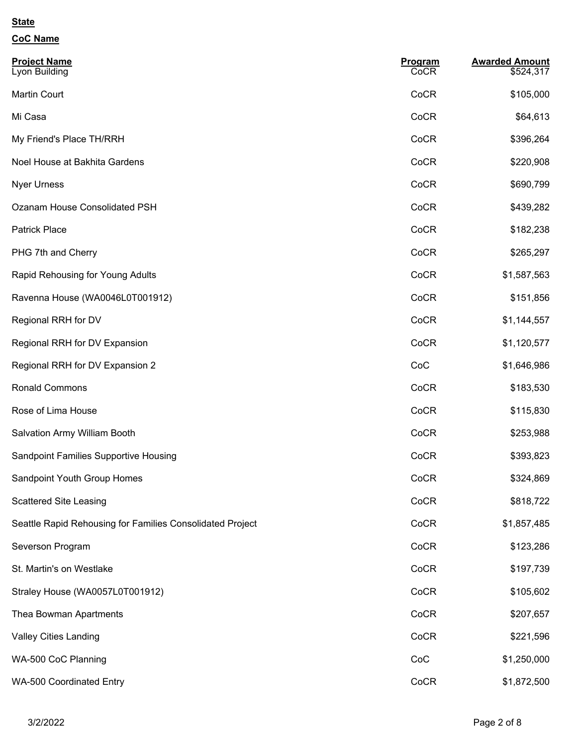| <b>CoC Name</b>                                           |                 |                                    |
|-----------------------------------------------------------|-----------------|------------------------------------|
| <b>Project Name</b><br>Lyon Building                      | Program<br>CoCR | <b>Awarded Amount</b><br>\$524,317 |
| Martin Court                                              | CoCR            | \$105,000                          |
| Mi Casa                                                   | CoCR            | \$64,613                           |
| My Friend's Place TH/RRH                                  | CoCR            | \$396,264                          |
| Noel House at Bakhita Gardens                             | CoCR            | \$220,908                          |
| <b>Nyer Urness</b>                                        | CoCR            | \$690,799                          |
| Ozanam House Consolidated PSH                             | CoCR            | \$439,282                          |
| <b>Patrick Place</b>                                      | CoCR            | \$182,238                          |
| PHG 7th and Cherry                                        | CoCR            | \$265,297                          |
| Rapid Rehousing for Young Adults                          | CoCR            | \$1,587,563                        |
| Ravenna House (WA0046L0T001912)                           | CoCR            | \$151,856                          |
| Regional RRH for DV                                       | CoCR            | \$1,144,557                        |
| Regional RRH for DV Expansion                             | CoCR            | \$1,120,577                        |
| Regional RRH for DV Expansion 2                           | CoC             | \$1,646,986                        |
| <b>Ronald Commons</b>                                     | CoCR            | \$183,530                          |
| Rose of Lima House                                        | CoCR            | \$115,830                          |
| Salvation Army William Booth                              | CoCR            | \$253,988                          |
| Sandpoint Families Supportive Housing                     | CoCR            | \$393,823                          |
| Sandpoint Youth Group Homes                               | CoCR            | \$324,869                          |
| <b>Scattered Site Leasing</b>                             | CoCR            | \$818,722                          |
| Seattle Rapid Rehousing for Families Consolidated Project | CoCR            | \$1,857,485                        |
| Severson Program                                          | CoCR            | \$123,286                          |
| St. Martin's on Westlake                                  | CoCR            | \$197,739                          |
| Straley House (WA0057L0T001912)                           | CoCR            | \$105,602                          |
|                                                           |                 |                                    |

Valley Cities Landing **Cock 221,596** Cock 3221,596

WA-500 CoC Planning \$1,250,000

WA-500 Coordinated Entry **Cock and Structure Cock and Structure Cock and Structure CoCR** 61,872,500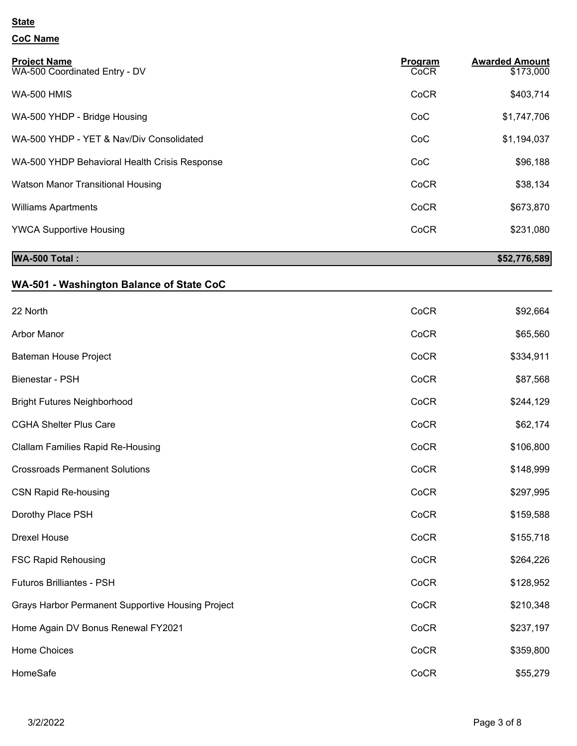## **CoC Name**

| <b>Project Name</b><br>WA-500 Coordinated Entry - DV | Program<br>CoCR | <b>Awarded Amount</b><br>\$173,000 |
|------------------------------------------------------|-----------------|------------------------------------|
| <b>WA-500 HMIS</b>                                   | CoCR            | \$403,714                          |
| WA-500 YHDP - Bridge Housing                         | CoC             | \$1,747,706                        |
| WA-500 YHDP - YET & Nav/Div Consolidated             | CoC             | \$1,194,037                        |
| WA-500 YHDP Behavioral Health Crisis Response        | CoC             | \$96,188                           |
| Watson Manor Transitional Housing                    | CoCR            | \$38,134                           |
| <b>Williams Apartments</b>                           | CoCR            | \$673,870                          |
| <b>YWCA Supportive Housing</b>                       | CoCR            | \$231,080                          |

## **WA-500 Total : \$52,776,589**

## **WA-501 - Washington Balance of State CoC**

| 22 North                                          | CoCR | \$92,664  |
|---------------------------------------------------|------|-----------|
| Arbor Manor                                       | CoCR | \$65,560  |
| Bateman House Project                             | CoCR | \$334,911 |
| Bienestar - PSH                                   | CoCR | \$87,568  |
| <b>Bright Futures Neighborhood</b>                | CoCR | \$244,129 |
| <b>CGHA Shelter Plus Care</b>                     | CoCR | \$62,174  |
| <b>Clallam Families Rapid Re-Housing</b>          | CoCR | \$106,800 |
| <b>Crossroads Permanent Solutions</b>             | CoCR | \$148,999 |
| <b>CSN Rapid Re-housing</b>                       | CoCR | \$297,995 |
| Dorothy Place PSH                                 | CoCR | \$159,588 |
| <b>Drexel House</b>                               | CoCR | \$155,718 |
| <b>FSC Rapid Rehousing</b>                        | CoCR | \$264,226 |
| <b>Futuros Brilliantes - PSH</b>                  | CoCR | \$128,952 |
| Grays Harbor Permanent Supportive Housing Project | CoCR | \$210,348 |
| Home Again DV Bonus Renewal FY2021                | CoCR | \$237,197 |
| Home Choices                                      | CoCR | \$359,800 |
| HomeSafe                                          | CoCR | \$55,279  |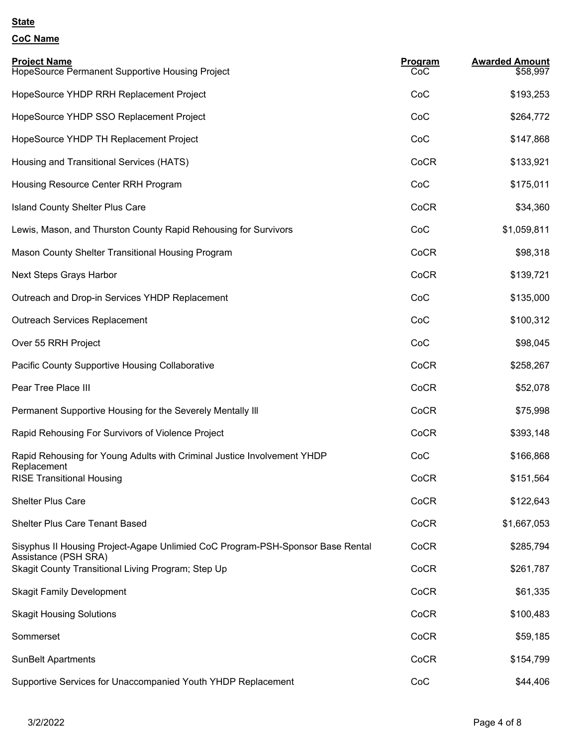## **CoC Name**

| <b>Project Name</b><br>HopeSource Permanent Supportive Housing Project                                 | Program<br>CoC | <b>Awarded Amount</b><br>\$58,997 |
|--------------------------------------------------------------------------------------------------------|----------------|-----------------------------------|
| HopeSource YHDP RRH Replacement Project                                                                | CoC            | \$193,253                         |
| HopeSource YHDP SSO Replacement Project                                                                | CoC            | \$264,772                         |
| HopeSource YHDP TH Replacement Project                                                                 | CoC            | \$147,868                         |
| Housing and Transitional Services (HATS)                                                               | CoCR           | \$133,921                         |
| Housing Resource Center RRH Program                                                                    | CoC            | \$175,011                         |
| <b>Island County Shelter Plus Care</b>                                                                 | CoCR           | \$34,360                          |
| Lewis, Mason, and Thurston County Rapid Rehousing for Survivors                                        | CoC            | \$1,059,811                       |
| Mason County Shelter Transitional Housing Program                                                      | CoCR           | \$98,318                          |
| Next Steps Grays Harbor                                                                                | CoCR           | \$139,721                         |
| Outreach and Drop-in Services YHDP Replacement                                                         | CoC            | \$135,000                         |
| <b>Outreach Services Replacement</b>                                                                   | CoC            | \$100,312                         |
| Over 55 RRH Project                                                                                    | CoC            | \$98,045                          |
| <b>Pacific County Supportive Housing Collaborative</b>                                                 | CoCR           | \$258,267                         |
| Pear Tree Place III                                                                                    | CoCR           | \$52,078                          |
| Permanent Supportive Housing for the Severely Mentally III                                             | CoCR           | \$75,998                          |
| Rapid Rehousing For Survivors of Violence Project                                                      | CoCR           | \$393,148                         |
| Rapid Rehousing for Young Adults with Criminal Justice Involvement YHDP<br>Replacement                 | CoC            | \$166,868                         |
| <b>RISE Transitional Housing</b>                                                                       | CoCR           | \$151,564                         |
| <b>Shelter Plus Care</b>                                                                               | CoCR           | \$122,643                         |
| <b>Shelter Plus Care Tenant Based</b>                                                                  | CoCR           | \$1,667,053                       |
| Sisyphus II Housing Project-Agape Unlimied CoC Program-PSH-Sponsor Base Rental<br>Assistance (PSH SRA) | CoCR           | \$285,794                         |
| Skagit County Transitional Living Program; Step Up                                                     | CoCR           | \$261,787                         |
| <b>Skagit Family Development</b>                                                                       | CoCR           | \$61,335                          |
| <b>Skagit Housing Solutions</b>                                                                        | CoCR           | \$100,483                         |
| Sommerset                                                                                              | CoCR           | \$59,185                          |
| <b>SunBelt Apartments</b>                                                                              | CoCR           | \$154,799                         |
| Supportive Services for Unaccompanied Youth YHDP Replacement                                           | CoC            | \$44,406                          |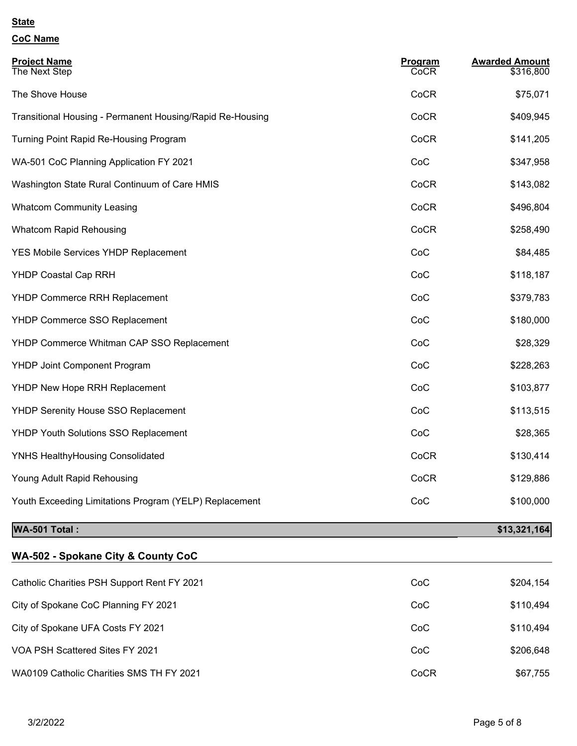**CoC Name**

| <b>Project Name</b><br>The Next Step                      | Program<br><b>CoCR</b> | <b>Awarded Amount</b><br>\$316,800 |
|-----------------------------------------------------------|------------------------|------------------------------------|
| The Shove House                                           | CoCR                   | \$75,071                           |
| Transitional Housing - Permanent Housing/Rapid Re-Housing | CoCR                   | \$409,945                          |
| Turning Point Rapid Re-Housing Program                    | CoCR                   | \$141,205                          |
| WA-501 CoC Planning Application FY 2021                   | CoC                    | \$347,958                          |
| Washington State Rural Continuum of Care HMIS             | CoCR                   | \$143,082                          |
| <b>Whatcom Community Leasing</b>                          | CoCR                   | \$496,804                          |
| <b>Whatcom Rapid Rehousing</b>                            | CoCR                   | \$258,490                          |
| YES Mobile Services YHDP Replacement                      | CoC                    | \$84,485                           |
| <b>YHDP Coastal Cap RRH</b>                               | CoC                    | \$118,187                          |
| <b>YHDP Commerce RRH Replacement</b>                      | CoC                    | \$379,783                          |
| YHDP Commerce SSO Replacement                             | CoC                    | \$180,000                          |
| YHDP Commerce Whitman CAP SSO Replacement                 | CoC                    | \$28,329                           |
| <b>YHDP Joint Component Program</b>                       | CoC                    | \$228,263                          |
| YHDP New Hope RRH Replacement                             | CoC                    | \$103,877                          |
| YHDP Serenity House SSO Replacement                       | CoC                    | \$113,515                          |
| YHDP Youth Solutions SSO Replacement                      | CoC                    | \$28,365                           |
| <b>YNHS HealthyHousing Consolidated</b>                   | CoCR                   | \$130,414                          |
| Young Adult Rapid Rehousing                               | CoCR                   | \$129,886                          |
| Youth Exceeding Limitations Program (YELP) Replacement    | CoC                    | \$100,000                          |

## **MA-501 Total :** \$13,321,164

| WA-502 - Spokane City & County CoC |  |
|------------------------------------|--|

| Catholic Charities PSH Support Rent FY 2021 | CoC  | \$204,154 |
|---------------------------------------------|------|-----------|
| City of Spokane CoC Planning FY 2021        | CoC  | \$110,494 |
| City of Spokane UFA Costs FY 2021           | CoC  | \$110,494 |
| VOA PSH Scattered Sites FY 2021             | CoC  | \$206,648 |
| WA0109 Catholic Charities SMS TH FY 2021    | CoCR | \$67,755  |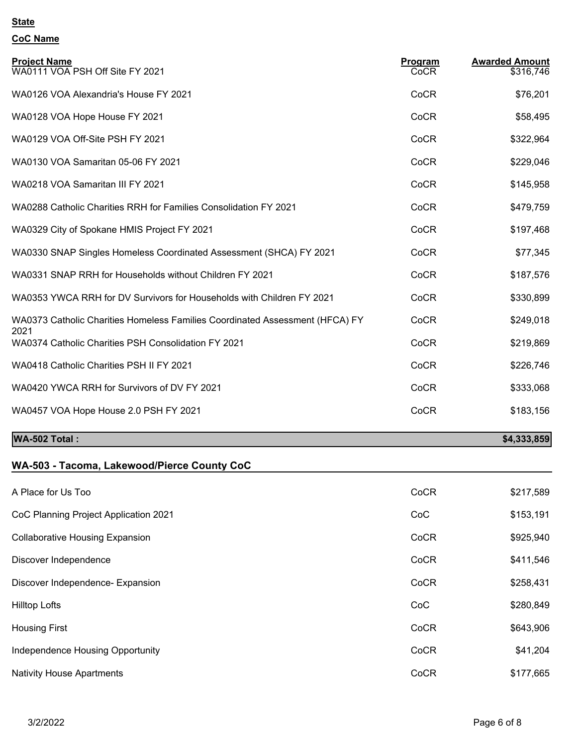# **CoC Name**

| <b>Project Name</b><br>WA0111 VOA PSH Off Site FY 2021                               | Program<br>CoCR | <b>Awarded Amount</b><br>\$316,746 |
|--------------------------------------------------------------------------------------|-----------------|------------------------------------|
| WA0126 VOA Alexandria's House FY 2021                                                | CoCR            | \$76,201                           |
| WA0128 VOA Hope House FY 2021                                                        | CoCR            | \$58,495                           |
| WA0129 VOA Off-Site PSH FY 2021                                                      | CoCR            | \$322,964                          |
| WA0130 VOA Samaritan 05-06 FY 2021                                                   | CoCR            | \$229,046                          |
| WA0218 VOA Samaritan III FY 2021                                                     | CoCR            | \$145,958                          |
| WA0288 Catholic Charities RRH for Families Consolidation FY 2021                     | CoCR            | \$479,759                          |
| WA0329 City of Spokane HMIS Project FY 2021                                          | CoCR            | \$197,468                          |
| WA0330 SNAP Singles Homeless Coordinated Assessment (SHCA) FY 2021                   | CoCR            | \$77,345                           |
| WA0331 SNAP RRH for Households without Children FY 2021                              | CoCR            | \$187,576                          |
| WA0353 YWCA RRH for DV Survivors for Households with Children FY 2021                | CoCR            | \$330,899                          |
| WA0373 Catholic Charities Homeless Families Coordinated Assessment (HFCA) FY<br>2021 | CoCR            | \$249,018                          |
| WA0374 Catholic Charities PSH Consolidation FY 2021                                  | CoCR            | \$219,869                          |
| WA0418 Catholic Charities PSH II FY 2021                                             | CoCR            | \$226,746                          |
| WA0420 YWCA RRH for Survivors of DV FY 2021                                          | CoCR            | \$333,068                          |
| WA0457 VOA Hope House 2.0 PSH FY 2021                                                | CoCR            | \$183,156                          |
| WA-502 Total:                                                                        |                 | \$4,333,859                        |

### **WA-503 - Tacoma, Lakewood/Pierce County CoC**

| A Place for Us Too                     | CoCR | \$217,589 |
|----------------------------------------|------|-----------|
| CoC Planning Project Application 2021  | CoC  | \$153,191 |
| <b>Collaborative Housing Expansion</b> | CoCR | \$925,940 |
| Discover Independence                  | CoCR | \$411,546 |
| Discover Independence- Expansion       | CoCR | \$258,431 |
| <b>Hilltop Lofts</b>                   | CoC  | \$280,849 |
| <b>Housing First</b>                   | CoCR | \$643,906 |
| Independence Housing Opportunity       | CoCR | \$41,204  |
| <b>Nativity House Apartments</b>       | CoCR | \$177,665 |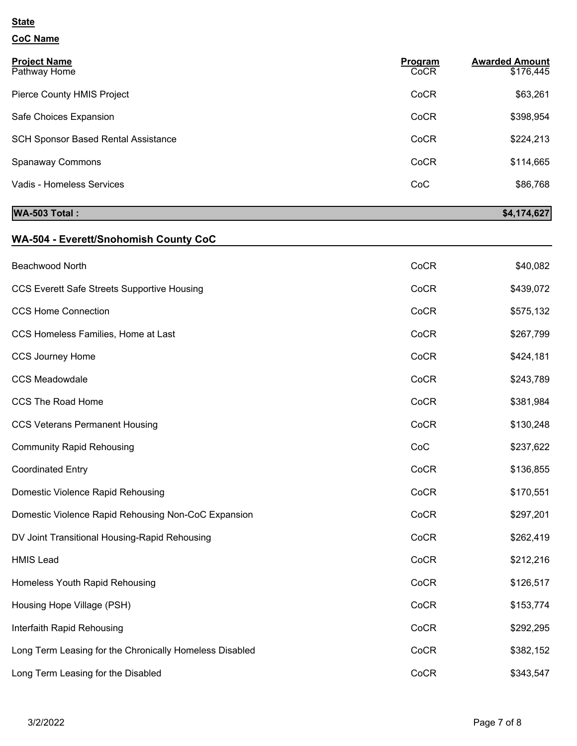# **CoC Name**

| <b>Project Name</b><br>Pathway Home        | Program<br>CoCR | <b>Awarded Amount</b><br>\$176,445 |
|--------------------------------------------|-----------------|------------------------------------|
| Pierce County HMIS Project                 | CoCR            | \$63,261                           |
| Safe Choices Expansion                     | CoCR            | \$398,954                          |
| <b>SCH Sponsor Based Rental Assistance</b> | CoCR            | \$224,213                          |
| <b>Spanaway Commons</b>                    | CoCR            | \$114,665                          |
| Vadis - Homeless Services                  | CoC             | \$86,768                           |

## **WA-503 Total : \$4,174,627**

## **WA-504 - Everett/Snohomish County CoC**

| Beachwood North                                         | CoCR | \$40,082  |
|---------------------------------------------------------|------|-----------|
| <b>CCS Everett Safe Streets Supportive Housing</b>      | CoCR | \$439,072 |
| <b>CCS Home Connection</b>                              | CoCR | \$575,132 |
| CCS Homeless Families, Home at Last                     | CoCR | \$267,799 |
| <b>CCS Journey Home</b>                                 | CoCR | \$424,181 |
| <b>CCS Meadowdale</b>                                   | CoCR | \$243,789 |
| <b>CCS The Road Home</b>                                | CoCR | \$381,984 |
| <b>CCS Veterans Permanent Housing</b>                   | CoCR | \$130,248 |
| <b>Community Rapid Rehousing</b>                        | CoC  | \$237,622 |
| <b>Coordinated Entry</b>                                | CoCR | \$136,855 |
| Domestic Violence Rapid Rehousing                       | CoCR | \$170,551 |
| Domestic Violence Rapid Rehousing Non-CoC Expansion     | CoCR | \$297,201 |
| DV Joint Transitional Housing-Rapid Rehousing           | CoCR | \$262,419 |
| <b>HMIS Lead</b>                                        | CoCR | \$212,216 |
| Homeless Youth Rapid Rehousing                          | CoCR | \$126,517 |
| Housing Hope Village (PSH)                              | CoCR | \$153,774 |
| Interfaith Rapid Rehousing                              | CoCR | \$292,295 |
| Long Term Leasing for the Chronically Homeless Disabled | CoCR | \$382,152 |
| Long Term Leasing for the Disabled                      | CoCR | \$343,547 |